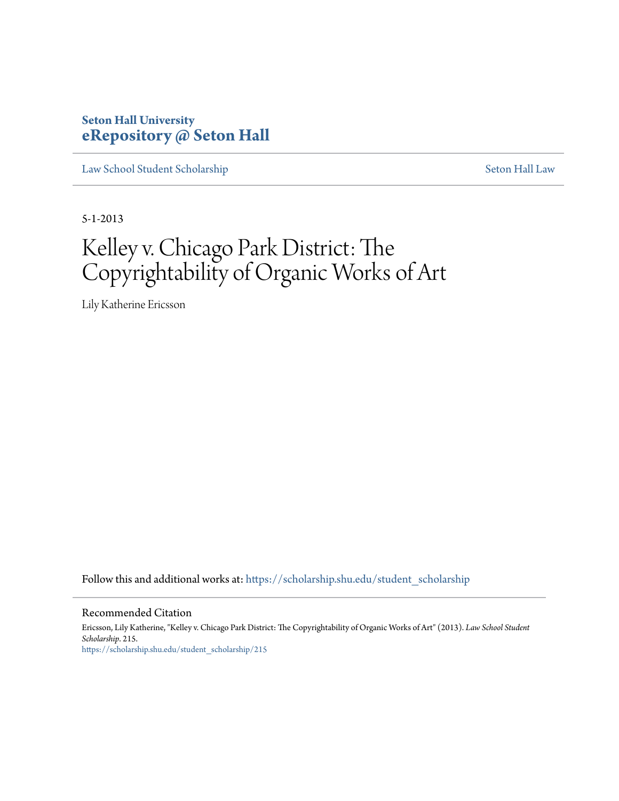# **Seton Hall University [eRepository @ Seton Hall](https://scholarship.shu.edu?utm_source=scholarship.shu.edu%2Fstudent_scholarship%2F215&utm_medium=PDF&utm_campaign=PDFCoverPages)**

[Law School Student Scholarship](https://scholarship.shu.edu/student_scholarship?utm_source=scholarship.shu.edu%2Fstudent_scholarship%2F215&utm_medium=PDF&utm_campaign=PDFCoverPages) [Seton Hall Law](https://scholarship.shu.edu/law?utm_source=scholarship.shu.edu%2Fstudent_scholarship%2F215&utm_medium=PDF&utm_campaign=PDFCoverPages)

5-1-2013

# Kelley v. Chicago Park District: The Copyrightability of Organic Works of Art

Lily Katherine Ericsson

Follow this and additional works at: [https://scholarship.shu.edu/student\\_scholarship](https://scholarship.shu.edu/student_scholarship?utm_source=scholarship.shu.edu%2Fstudent_scholarship%2F215&utm_medium=PDF&utm_campaign=PDFCoverPages)

#### Recommended Citation

Ericsson, Lily Katherine, "Kelley v. Chicago Park District: The Copyrightability of Organic Works of Art" (2013). *Law School Student Scholarship*. 215. [https://scholarship.shu.edu/student\\_scholarship/215](https://scholarship.shu.edu/student_scholarship/215?utm_source=scholarship.shu.edu%2Fstudent_scholarship%2F215&utm_medium=PDF&utm_campaign=PDFCoverPages)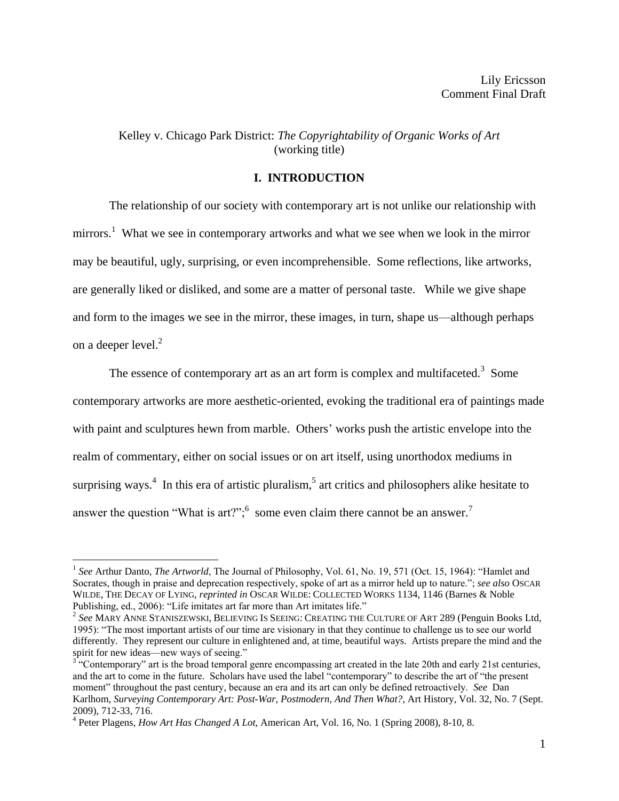# Kelley v. Chicago Park District: *The Copyrightability of Organic Works of Art* (working title)

## **I. INTRODUCTION**

The relationship of our society with contemporary art is not unlike our relationship with mirrors.<sup>1</sup> What we see in contemporary artworks and what we see when we look in the mirror may be beautiful, ugly, surprising, or even incomprehensible. Some reflections, like artworks, are generally liked or disliked, and some are a matter of personal taste. While we give shape and form to the images we see in the mirror, these images, in turn, shape us—although perhaps on a deeper level.<sup>2</sup>

The essence of contemporary art as an art form is complex and multifaceted.<sup>3</sup> Some contemporary artworks are more aesthetic-oriented, evoking the traditional era of paintings made with paint and sculptures hewn from marble. Others' works push the artistic envelope into the realm of commentary, either on social issues or on art itself, using unorthodox mediums in surprising ways.<sup>4</sup> In this era of artistic pluralism,<sup>5</sup> art critics and philosophers alike hesitate to answer the question "What is art?"; some even claim there cannot be an answer.<sup>7</sup>

<sup>&</sup>lt;sup>1</sup> See Arthur Danto, *The Artworld*, The Journal of Philosophy, Vol. 61, No. 19, 571 (Oct. 15, 1964): "Hamlet and Socrates, though in praise and deprecation respectively, spoke of art as a mirror held up to nature."; *see also* OSCAR WILDE, THE DECAY OF LYING, *reprinted in* OSCAR WILDE: COLLECTED WORKS 1134, 1146 (Barnes & Noble Publishing, ed., 2006): "Life imitates art far more than Art imitates life."

<sup>2</sup> *See* MARY ANNE STANISZEWSKI, BELIEVING IS SEEING: CREATING THE CULTURE OF ART 289 (Penguin Books Ltd, 1995): "The most important artists of our time are visionary in that they continue to challenge us to see our world differently. They represent our culture in enlightened and, at time, beautiful ways. Artists prepare the mind and the spirit for new ideas—new ways of seeing."

 $3^{\circ}$  "Contemporary" art is the broad temporal genre encompassing art created in the late 20th and early 21st centuries, and the art to come in the future. Scholars have used the label "contemporary" to describe the art of "the present moment" throughout the past century, because an era and its art can only be defined retroactively. *See* Dan Karlhom, *Surveying Contemporary Art: Post-War, Postmodern, And Then What?*, Art History, Vol. 32, No. 7 (Sept. 2009), 712-33, 716.

<sup>4</sup> Peter Plagens, *How Art Has Changed A Lot*, American Art, Vol. 16, No. 1 (Spring 2008), 8-10, 8.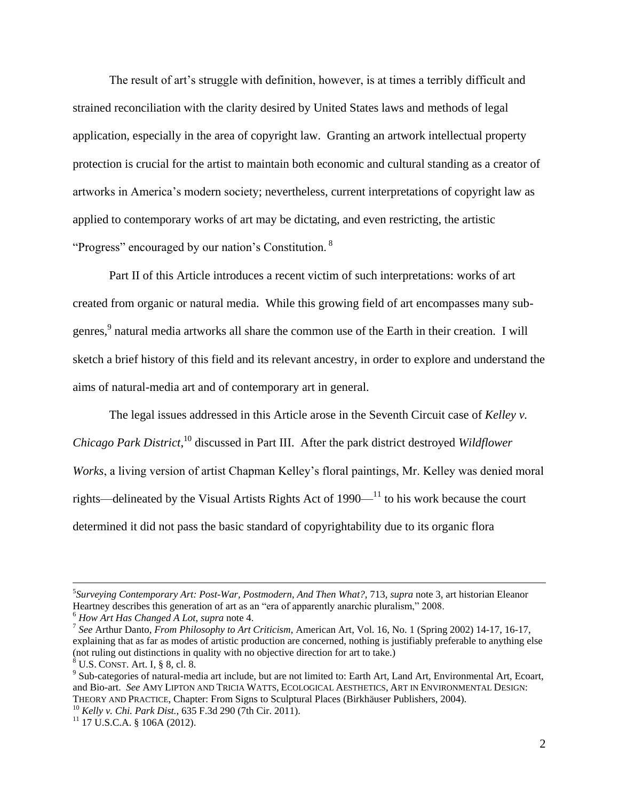The result of art's struggle with definition, however, is at times a terribly difficult and strained reconciliation with the clarity desired by United States laws and methods of legal application, especially in the area of copyright law. Granting an artwork intellectual property protection is crucial for the artist to maintain both economic and cultural standing as a creator of artworks in America's modern society; nevertheless, current interpretations of copyright law as applied to contemporary works of art may be dictating, and even restricting, the artistic "Progress" encouraged by our nation's Constitution. <sup>8</sup>

Part II of this Article introduces a recent victim of such interpretations: works of art created from organic or natural media. While this growing field of art encompasses many subgenres,<sup>9</sup> natural media artworks all share the common use of the Earth in their creation. I will sketch a brief history of this field and its relevant ancestry, in order to explore and understand the aims of natural-media art and of contemporary art in general.

The legal issues addressed in this Article arose in the Seventh Circuit case of *Kelley v. Chicago Park District*, <sup>10</sup> discussed in Part III. After the park district destroyed *Wildflower Works*, a living version of artist Chapman Kelley's floral paintings, Mr. Kelley was denied moral rights—delineated by the Visual Artists Rights Act of  $1990-$ <sup>11</sup> to his work because the court determined it did not pass the basic standard of copyrightability due to its organic flora

<sup>5</sup> *Surveying Contemporary Art: Post-War, Postmodern, And Then What?*, 713, *supra* note 3, art historian Eleanor Heartney describes this generation of art as an "era of apparently anarchic pluralism," 2008.

<sup>6</sup> *How Art Has Changed A Lot*, *supra* note 4.

<sup>7</sup> *See* Arthur Danto, *From Philosophy to Art Criticism*, American Art, Vol. 16, No. 1 (Spring 2002) 14-17, 16-17, explaining that as far as modes of artistic production are concerned, nothing is justifiably preferable to anything else (not ruling out distinctions in quality with no objective direction for art to take.)

 $8\,$  U.S. CONST. Art. I, § 8, cl. 8.

<sup>&</sup>lt;sup>9</sup> Sub-categories of natural-media art include, but are not limited to: Earth Art, Land Art, Environmental Art, Ecoart, and Bio-art. *See* AMY LIPTON AND TRICIA WATTS, ECOLOGICAL AESTHETICS, ART IN ENVIRONMENTAL DESIGN: THEORY AND PRACTICE, Chapter: From Signs to Sculptural Places (Birkhäuser Publishers, 2004).

<sup>10</sup> *Kelly v. Chi. Park Dist.*, 635 F.3d 290 (7th Cir. 2011).

 $11$  17 U.S.C.A. § 106A (2012).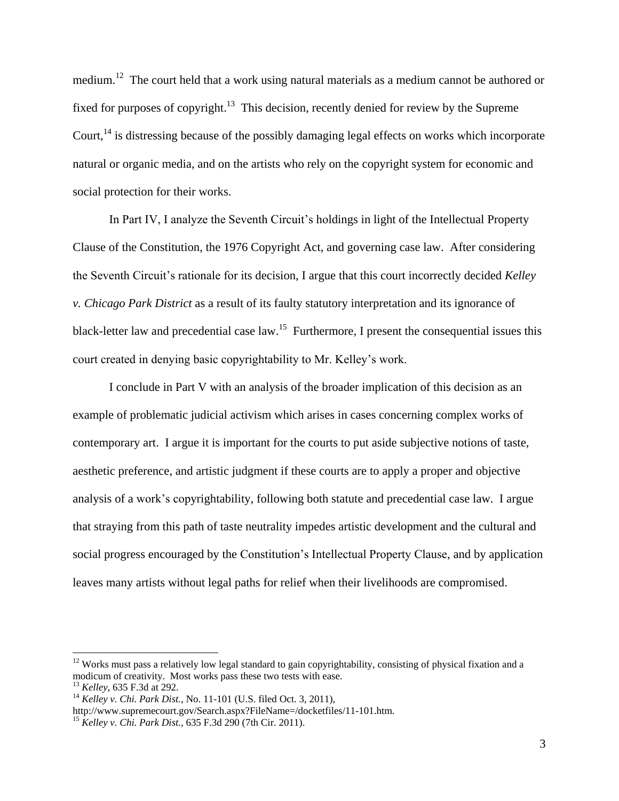medium.<sup>12</sup> The court held that a work using natural materials as a medium cannot be authored or fixed for purposes of copyright.<sup>13</sup> This decision, recently denied for review by the Supreme Court.<sup>14</sup> is distressing because of the possibly damaging legal effects on works which incorporate natural or organic media, and on the artists who rely on the copyright system for economic and social protection for their works.

In Part IV, I analyze the Seventh Circuit's holdings in light of the Intellectual Property Clause of the Constitution, the 1976 Copyright Act, and governing case law. After considering the Seventh Circuit's rationale for its decision, I argue that this court incorrectly decided *Kelley v. Chicago Park District* as a result of its faulty statutory interpretation and its ignorance of black-letter law and precedential case law.<sup>15</sup> Furthermore, I present the consequential issues this court created in denying basic copyrightability to Mr. Kelley's work.

I conclude in Part V with an analysis of the broader implication of this decision as an example of problematic judicial activism which arises in cases concerning complex works of contemporary art. I argue it is important for the courts to put aside subjective notions of taste, aesthetic preference, and artistic judgment if these courts are to apply a proper and objective analysis of a work's copyrightability, following both statute and precedential case law. I argue that straying from this path of taste neutrality impedes artistic development and the cultural and social progress encouraged by the Constitution's Intellectual Property Clause, and by application leaves many artists without legal paths for relief when their livelihoods are compromised.

 $12$  Works must pass a relatively low legal standard to gain copyrightability, consisting of physical fixation and a modicum of creativity. Most works pass these two tests with ease.

<sup>13</sup> *Kelley*, 635 F.3d at 292.

<sup>14</sup> *Kelley v. Chi. Park Dist.*, No. 11-101 (U.S. filed Oct. 3, 2011),

http://www.supremecourt.gov/Search.aspx?FileName=/docketfiles/11-101.htm.

<sup>15</sup> *Kelley v. Chi. Park Dist.,* 635 F.3d 290 (7th Cir. 2011).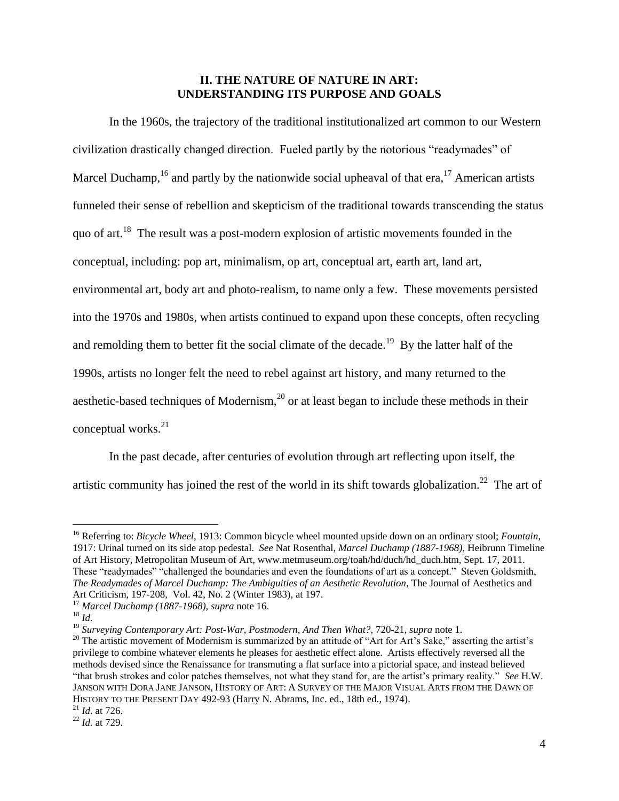# **II. THE NATURE OF NATURE IN ART: UNDERSTANDING ITS PURPOSE AND GOALS**

In the 1960s, the trajectory of the traditional institutionalized art common to our Western civilization drastically changed direction. Fueled partly by the notorious "readymades" of Marcel Duchamp,<sup>16</sup> and partly by the nationwide social upheaval of that era,<sup>17</sup> American artists funneled their sense of rebellion and skepticism of the traditional towards transcending the status quo of art.<sup>18</sup> The result was a post-modern explosion of artistic movements founded in the conceptual, including: pop art, minimalism, op art, conceptual art, earth art, land art, environmental art, body art and photo-realism, to name only a few. These movements persisted into the 1970s and 1980s, when artists continued to expand upon these concepts, often recycling and remolding them to better fit the social climate of the decade.<sup>19</sup> By the latter half of the 1990s, artists no longer felt the need to rebel against art history, and many returned to the aesthetic-based techniques of Modernism, $^{20}$  or at least began to include these methods in their conceptual works.<sup>21</sup>

In the past decade, after centuries of evolution through art reflecting upon itself, the artistic community has joined the rest of the world in its shift towards globalization.<sup>22</sup> The art of

<sup>16</sup> Referring to: *Bicycle Wheel*, 1913: Common bicycle wheel mounted upside down on an ordinary stool; *Fountain*, 1917: Urinal turned on its side atop pedestal. *See* Nat Rosenthal, *Marcel Duchamp (1887-1968)*, Heibrunn Timeline of Art History, Metropolitan Museum of Art, www.metmuseum.org/toah/hd/duch/hd\_duch.htm, Sept. 17, 2011. These "readymades" "challenged the boundaries and even the foundations of art as a concept." Steven Goldsmith, *The Readymades of Marcel Duchamp: The Ambiguities of an Aesthetic Revolution*, The Journal of Aesthetics and Art Criticism, 197-208, Vol. 42, No. 2 (Winter 1983), at 197.

<sup>17</sup> *Marcel Duchamp (1887-1968), supra* note 16.

<sup>18</sup> *Id.*

<sup>19</sup> *Surveying Contemporary Art: Post-War, Postmodern, And Then What?*, 720-21, *supra* note 1.

<sup>&</sup>lt;sup>20</sup> The artistic movement of Modernism is summarized by an attitude of "Art for Art's Sake," asserting the artist's privilege to combine whatever elements he pleases for aesthetic effect alone. Artists effectively reversed all the methods devised since the Renaissance for transmuting a flat surface into a pictorial space, and instead believed "that brush strokes and color patches themselves, not what they stand for, are the artist's primary reality." *See* H.W. JANSON WITH DORA JANE JANSON, HISTORY OF ART: A SURVEY OF THE MAJOR VISUAL ARTS FROM THE DAWN OF HISTORY TO THE PRESENT DAY 492-93 (Harry N. Abrams, Inc. ed., 18th ed., 1974).

<sup>21</sup> *Id*. at 726.

<sup>22</sup> *Id.* at 729.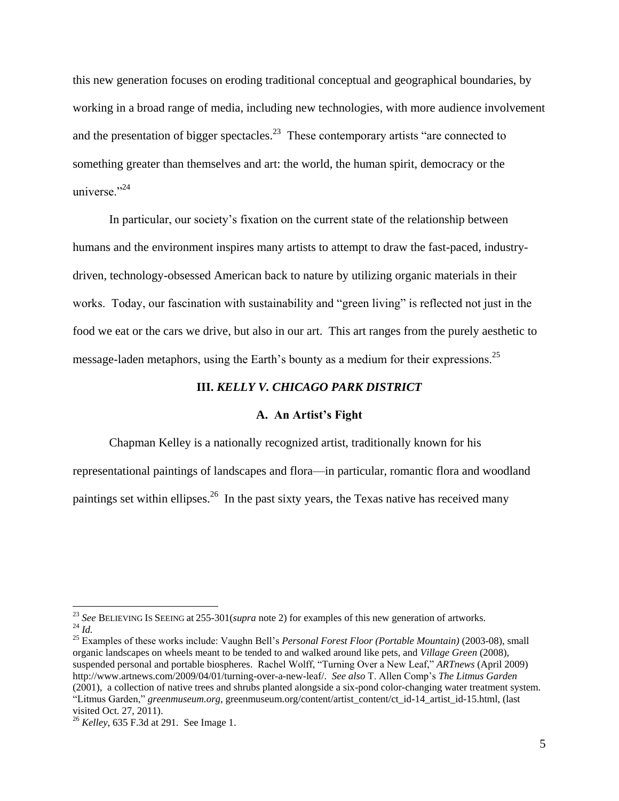this new generation focuses on eroding traditional conceptual and geographical boundaries, by working in a broad range of media, including new technologies, with more audience involvement and the presentation of bigger spectacles.<sup>23</sup> These contemporary artists "are connected to something greater than themselves and art: the world, the human spirit, democracy or the universe $^{324}$ 

In particular, our society's fixation on the current state of the relationship between humans and the environment inspires many artists to attempt to draw the fast-paced, industrydriven, technology-obsessed American back to nature by utilizing organic materials in their works. Today, our fascination with sustainability and "green living" is reflected not just in the food we eat or the cars we drive, but also in our art. This art ranges from the purely aesthetic to message-laden metaphors, using the Earth's bounty as a medium for their expressions.<sup>25</sup>

#### **III.** *KELLY V. CHICAGO PARK DISTRICT*

#### **A. An Artist's Fight**

Chapman Kelley is a nationally recognized artist, traditionally known for his representational paintings of landscapes and flora—in particular, romantic flora and woodland paintings set within ellipses.<sup>26</sup> In the past sixty years, the Texas native has received many

<sup>23</sup> *See* BELIEVING IS SEEING at 255-301(*supra* note 2) for examples of this new generation of artworks.  $^{24}$  *Id.* 

<sup>25</sup> Examples of these works include: Vaughn Bell's *Personal Forest Floor (Portable Mountain)* (2003-08), small organic landscapes on wheels meant to be tended to and walked around like pets, and *Village Green* (2008), suspended personal and portable biospheres. Rachel Wolff, "Turning Over a New Leaf," *ARTnews* (April 2009) http://www.artnews.com/2009/04/01/turning-over-a-new-leaf/. *See also* T. Allen Comp's *The Litmus Garden* (2001), a collection of native trees and shrubs planted alongside a six-pond color-changing water treatment system. "Litmus Garden," *greenmuseum.org*, greenmuseum.org/content/artist\_content/ct\_id-14\_artist\_id-15.html, (last visited Oct. 27, 2011).

<sup>26</sup> *Kelley*, 635 F.3d at 291*.* See Image 1.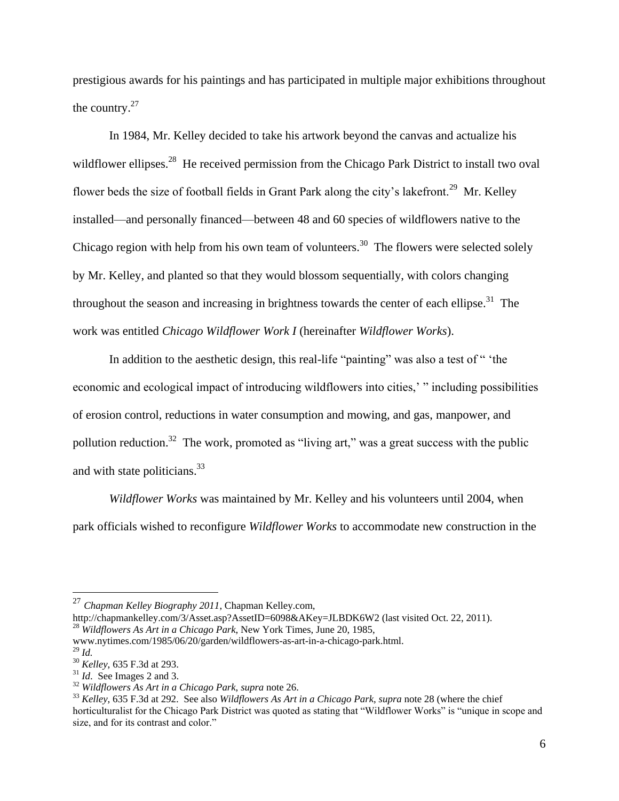prestigious awards for his paintings and has participated in multiple major exhibitions throughout the country. $27$ 

In 1984, Mr. Kelley decided to take his artwork beyond the canvas and actualize his wildflower ellipses.<sup>28</sup> He received permission from the Chicago Park District to install two oval flower beds the size of football fields in Grant Park along the city's lakefront.<sup>29</sup> Mr. Kelley installed—and personally financed—between 48 and 60 species of wildflowers native to the Chicago region with help from his own team of volunteers.<sup>30</sup> The flowers were selected solely by Mr. Kelley, and planted so that they would blossom sequentially, with colors changing throughout the season and increasing in brightness towards the center of each ellipse.<sup>31</sup> The work was entitled *Chicago Wildflower Work I* (hereinafter *Wildflower Works*).

In addition to the aesthetic design, this real-life "painting" was also a test of " 'the economic and ecological impact of introducing wildflowers into cities,' " including possibilities of erosion control, reductions in water consumption and mowing, and gas, manpower, and pollution reduction.<sup>32</sup> The work, promoted as "living art," was a great success with the public and with state politicians.<sup>33</sup>

*Wildflower Works* was maintained by Mr. Kelley and his volunteers until 2004, when park officials wished to reconfigure *Wildflower Works* to accommodate new construction in the

<sup>27</sup> *Chapman Kelley Biography 2011*, Chapman Kelley.com,

http://chapmankelley.com/3/Asset.asp?AssetID=6098&AKey=JLBDK6W2 (last visited Oct. 22, 2011).

<sup>28</sup> *Wildflowers As Art in a Chicago Park*, New York Times, June 20, 1985,

www.nytimes.com/1985/06/20/garden/wildflowers-as-art-in-a-chicago-park.html. <sup>29</sup> *Id.*

<sup>30</sup> *Kelley*, 635 F.3d at 293.

<sup>31</sup> *Id*. See Images 2 and 3.

<sup>32</sup> *Wildflowers As Art in a Chicago Park*, *supra* note 26.

<sup>33</sup> *Kelley*, 635 F.3d at 292. See also *Wildflowers As Art in a Chicago Park*, *supra* note 28 (where the chief horticulturalist for the Chicago Park District was quoted as stating that "Wildflower Works" is "unique in scope and size, and for its contrast and color."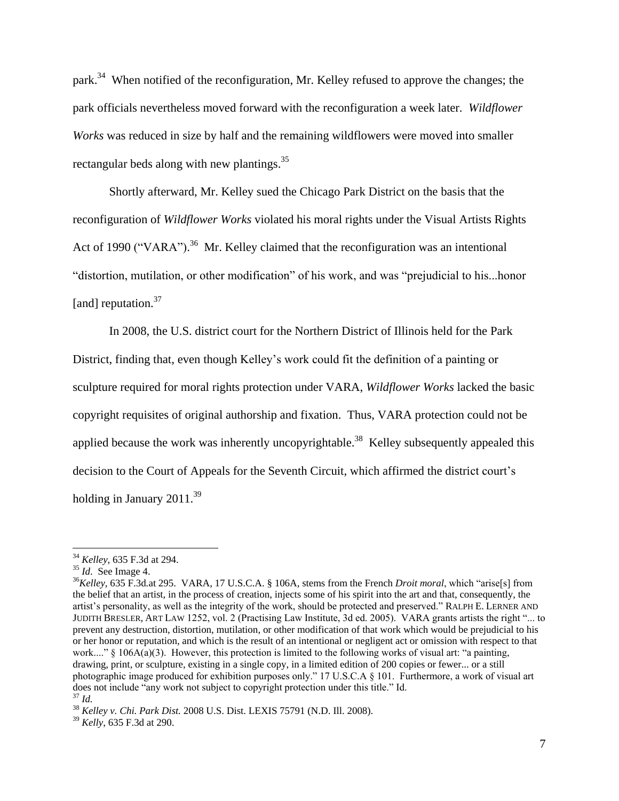park.<sup>34</sup> When notified of the reconfiguration, Mr. Kelley refused to approve the changes; the park officials nevertheless moved forward with the reconfiguration a week later. *Wildflower Works* was reduced in size by half and the remaining wildflowers were moved into smaller rectangular beds along with new plantings.<sup>35</sup>

Shortly afterward, Mr. Kelley sued the Chicago Park District on the basis that the reconfiguration of *Wildflower Works* violated his moral rights under the Visual Artists Rights Act of 1990 ("VARA").<sup>36</sup> Mr. Kelley claimed that the reconfiguration was an intentional "distortion, mutilation, or other modification" of his work, and was "prejudicial to his...honor [and] reputation.<sup>37</sup>

In 2008, the U.S. district court for the Northern District of Illinois held for the Park District, finding that, even though Kelley's work could fit the definition of a painting or sculpture required for moral rights protection under VARA, *Wildflower Works* lacked the basic copyright requisites of original authorship and fixation. Thus, VARA protection could not be applied because the work was inherently uncopyrightable.<sup>38</sup> Kelley subsequently appealed this decision to the Court of Appeals for the Seventh Circuit, which affirmed the district court's holding in January 2011.<sup>39</sup>

<sup>34</sup> *Kelley*, 635 F.3d at 294.

<sup>35</sup> *Id*. See Image 4.

<sup>36</sup>*Kelley*, 635 F.3d*.*at 295. VARA, 17 U.S.C.A. § 106A, stems from the French *Droit moral*, which "arise[s] from the belief that an artist, in the process of creation, injects some of his spirit into the art and that, consequently, the artist's personality, as well as the integrity of the work, should be protected and preserved." RALPH E. LERNER AND JUDITH BRESLER, ART LAW 1252, vol. 2 (Practising Law Institute, 3d ed. 2005). VARA grants artists the right "... to prevent any destruction, distortion, mutilation, or other modification of that work which would be prejudicial to his or her honor or reputation, and which is the result of an intentional or negligent act or omission with respect to that work...." § 106A(a)(3). However, this protection is limited to the following works of visual art: "a painting, drawing, print, or sculpture, existing in a single copy, in a limited edition of 200 copies or fewer... or a still photographic image produced for exhibition purposes only." 17 U.S.C.A § 101. Furthermore, a work of visual art does not include "any work not subject to copyright protection under this title." Id. <sup>37</sup> *Id.*

<sup>38</sup> *Kelley v. Chi. Park Dist.* 2008 U.S. Dist. LEXIS 75791 (N.D. Ill. 2008).

<sup>39</sup> *Kelly*, 635 F.3d at 290.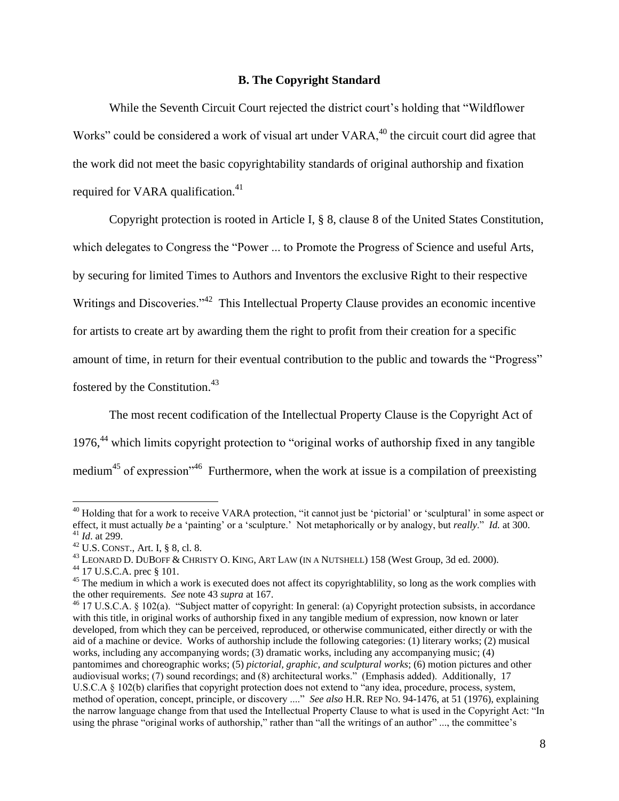#### **B. The Copyright Standard**

While the Seventh Circuit Court rejected the district court's holding that "Wildflower Works" could be considered a work of visual art under VARA,<sup>40</sup> the circuit court did agree that the work did not meet the basic copyrightability standards of original authorship and fixation required for VARA qualification.<sup>41</sup>

Copyright protection is rooted in Article I, § 8, clause 8 of the United States Constitution, which delegates to Congress the "Power ... to Promote the Progress of Science and useful Arts, by securing for limited Times to Authors and Inventors the exclusive Right to their respective Writings and Discoveries."<sup>42</sup> This Intellectual Property Clause provides an economic incentive for artists to create art by awarding them the right to profit from their creation for a specific amount of time, in return for their eventual contribution to the public and towards the "Progress" fostered by the Constitution.<sup>43</sup>

The most recent codification of the Intellectual Property Clause is the Copyright Act of 1976,<sup>44</sup> which limits copyright protection to "original works of authorship fixed in any tangible medium<sup>45</sup> of expression<sup> $1/46$ </sup> Furthermore, when the work at issue is a compilation of preexisting

<sup>&</sup>lt;sup>40</sup> Holding that for a work to receive VARA protection, "it cannot just be 'pictorial' or 'sculptural' in some aspect or effect, it must actually *be* a 'painting' or a 'sculpture.' Not metaphorically or by analogy, but *really*." *Id.* at 300. <sup>41</sup> *Id*. at 299.

<sup>42</sup> U.S. CONST., Art. I, § 8, cl. 8.

<sup>&</sup>lt;sup>43</sup> LEONARD D. DUBOFF & CHRISTY O. KING, ART LAW (IN A NUTSHELL) 158 (West Group, 3d ed. 2000).

<sup>44</sup> 17 U.S.C.A. prec § 101.

<sup>&</sup>lt;sup>45</sup> The medium in which a work is executed does not affect its copyrightablility, so long as the work complies with the other requirements. *See* note 43 *supra* at 167.

<sup>46</sup> 17 U.S.C.A. § 102(a). "Subject matter of copyright: In general: (a) Copyright protection subsists, in accordance with this title, in original works of authorship fixed in any tangible medium of expression, now known or later developed, from which they can be perceived, reproduced, or otherwise communicated, either directly or with the aid of a machine or device. Works of authorship include the following categories: (1) literary works; (2) musical works, including any accompanying words; (3) dramatic works, including any accompanying music; (4) pantomimes and choreographic works; (5) *pictorial, graphic, and sculptural works*; (6) motion pictures and other audiovisual works; (7) sound recordings; and (8) architectural works." (Emphasis added). Additionally, 17 U.S.C.A § 102(b) clarifies that copyright protection does not extend to "any idea, procedure, process, system, method of operation, concept, principle, or discovery ...." *See also* H.R. REP NO. 94-1476, at 51 (1976), explaining the narrow language change from that used the Intellectual Property Clause to what is used in the Copyright Act: "In using the phrase "original works of authorship," rather than "all the writings of an author" ..., the committee's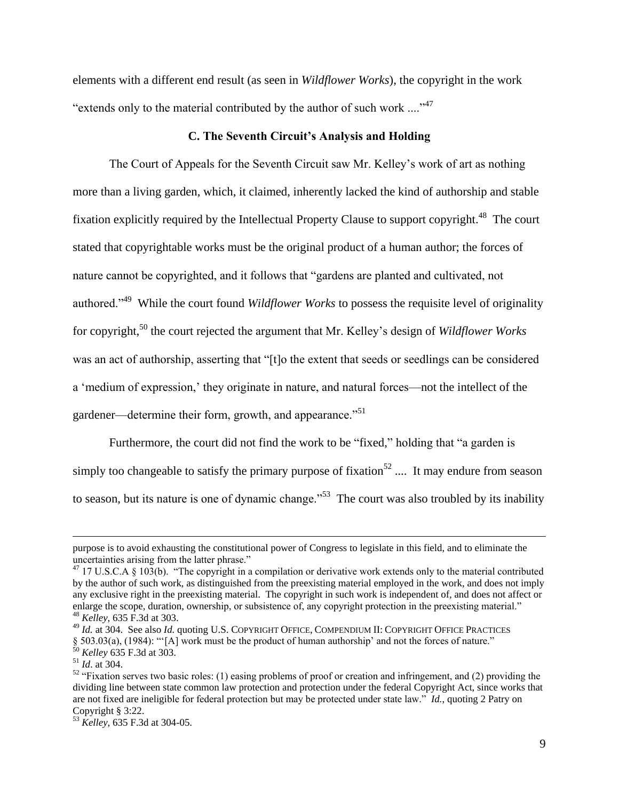elements with a different end result (as seen in *Wildflower Works*), the copyright in the work "extends only to the material contributed by the author of such work ...."<sup>47</sup>

#### **C. The Seventh Circuit's Analysis and Holding**

The Court of Appeals for the Seventh Circuit saw Mr. Kelley's work of art as nothing more than a living garden, which, it claimed, inherently lacked the kind of authorship and stable fixation explicitly required by the Intellectual Property Clause to support copyright.<sup>48</sup> The court stated that copyrightable works must be the original product of a human author; the forces of nature cannot be copyrighted, and it follows that "gardens are planted and cultivated, not authored.<sup>149</sup> While the court found *Wildflower Works* to possess the requisite level of originality for copyright,<sup>50</sup> the court rejected the argument that Mr. Kelley's design of *Wildflower Works* was an act of authorship, asserting that "[t]o the extent that seeds or seedlings can be considered a 'medium of expression,' they originate in nature, and natural forces—not the intellect of the gardener—determine their form, growth, and appearance."<sup>51</sup>

Furthermore, the court did not find the work to be "fixed," holding that "a garden is simply too changeable to satisfy the primary purpose of fixation<sup>52</sup> .... It may endure from season to season, but its nature is one of dynamic change."<sup>53</sup> The court was also troubled by its inability

purpose is to avoid exhausting the constitutional power of Congress to legislate in this field, and to eliminate the uncertainties arising from the latter phrase."

 $47$  17 U.S.C.A § 103(b). "The copyright in a compilation or derivative work extends only to the material contributed by the author of such work, as distinguished from the preexisting material employed in the work, and does not imply any exclusive right in the preexisting material. The copyright in such work is independent of, and does not affect or enlarge the scope, duration, ownership, or subsistence of, any copyright protection in the preexisting material." <sup>48</sup> *Kelley*, 635 F.3d at 303.

<sup>49</sup> *Id.* at 304. See also *Id.* quoting U.S. COPYRIGHT OFFICE, COMPENDIUM II: COPYRIGHT OFFICE PRACTICES  $\S$  503.03(a), (1984): "[A] work must be the product of human authorship' and not the forces of nature."

<sup>50</sup> *Kelley* 635 F.3d at 303.

<sup>51</sup> *Id*. at 304.

 $52$  "Fixation serves two basic roles: (1) easing problems of proof or creation and infringement, and (2) providing the dividing line between state common law protection and protection under the federal Copyright Act, since works that are not fixed are ineligible for federal protection but may be protected under state law." *Id.*, quoting 2 Patry on Copyright § 3:22.

<sup>53</sup> *Kelley*, 635 F.3d at 304-05.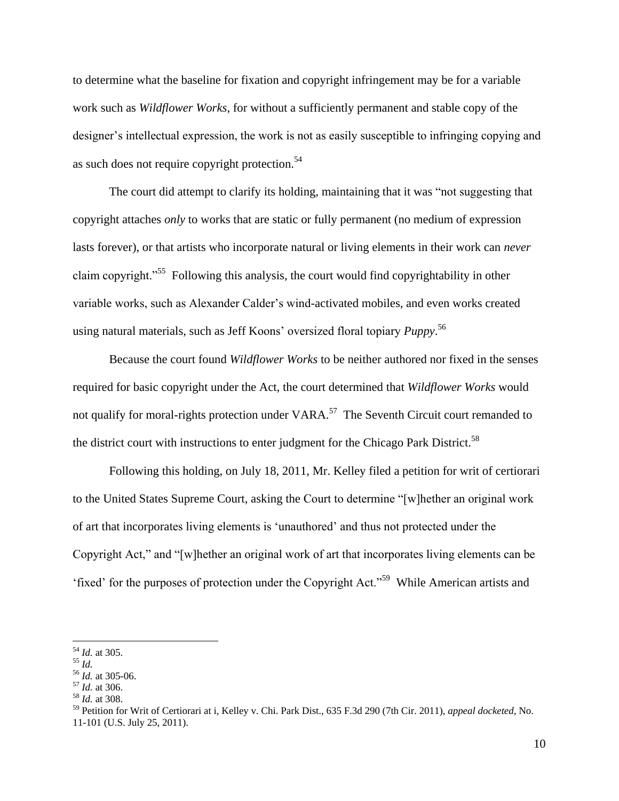to determine what the baseline for fixation and copyright infringement may be for a variable work such as *Wildflower Works*, for without a sufficiently permanent and stable copy of the designer's intellectual expression, the work is not as easily susceptible to infringing copying and as such does not require copyright protection.<sup>54</sup>

The court did attempt to clarify its holding, maintaining that it was "not suggesting that copyright attaches *only* to works that are static or fully permanent (no medium of expression lasts forever), or that artists who incorporate natural or living elements in their work can *never* claim copyright."<sup>55</sup> Following this analysis, the court would find copyrightability in other variable works, such as Alexander Calder's wind-activated mobiles, and even works created using natural materials, such as Jeff Koons' oversized floral topiary *Puppy*. 56

Because the court found *Wildflower Works* to be neither authored nor fixed in the senses required for basic copyright under the Act, the court determined that *Wildflower Works* would not qualify for moral-rights protection under VARA.<sup>57</sup> The Seventh Circuit court remanded to the district court with instructions to enter judgment for the Chicago Park District.<sup>58</sup>

Following this holding, on July 18, 2011, Mr. Kelley filed a petition for writ of certiorari to the United States Supreme Court, asking the Court to determine "[w]hether an original work of art that incorporates living elements is 'unauthored' and thus not protected under the Copyright Act," and "[w]hether an original work of art that incorporates living elements can be 'fixed' for the purposes of protection under the Copyright Act."<sup>59</sup> While American artists and

<sup>54</sup> *Id.* at 305.

<sup>55</sup> *Id.*

<sup>56</sup> *Id.* at 305-06.

<sup>57</sup> *Id.* at 306.

<sup>58</sup> *Id.* at 308.

<sup>59</sup> Petition for Writ of Certiorari at i, Kelley v. Chi. Park Dist., 635 F.3d 290 (7th Cir. 2011), *appeal docketed*, No. 11-101 (U.S. July 25, 2011).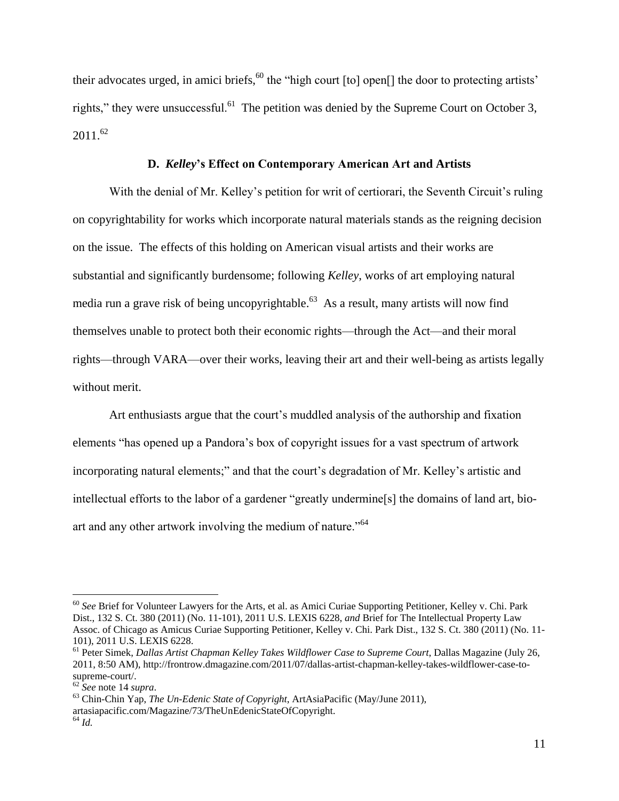their advocates urged, in amici briefs,  $60$  the "high court  $[$ to $]$  open $[$  $]$  the door to protecting artists' rights," they were unsuccessful.<sup>61</sup> The petition was denied by the Supreme Court on October 3,  $2011^{62}$ 

## **D.** *Kelley***'s Effect on Contemporary American Art and Artists**

With the denial of Mr. Kelley's petition for writ of certiorari, the Seventh Circuit's ruling on copyrightability for works which incorporate natural materials stands as the reigning decision on the issue. The effects of this holding on American visual artists and their works are substantial and significantly burdensome; following *Kelley*, works of art employing natural media run a grave risk of being uncopyrightable.<sup>63</sup> As a result, many artists will now find themselves unable to protect both their economic rights—through the Act—and their moral rights—through VARA—over their works, leaving their art and their well-being as artists legally without merit.

Art enthusiasts argue that the court's muddled analysis of the authorship and fixation elements "has opened up a Pandora's box of copyright issues for a vast spectrum of artwork incorporating natural elements;" and that the court's degradation of Mr. Kelley's artistic and intellectual efforts to the labor of a gardener "greatly undermine[s] the domains of land art, bioart and any other artwork involving the medium of nature."<sup>64</sup>

<sup>60</sup> *See* Brief for Volunteer Lawyers for the Arts, et al. as Amici Curiae Supporting Petitioner, Kelley v. Chi. Park Dist., 132 S. Ct. 380 (2011) (No. 11-101), 2011 U.S. LEXIS 6228, *and* Brief for The Intellectual Property Law Assoc. of Chicago as Amicus Curiae Supporting Petitioner, Kelley v. Chi. Park Dist., 132 S. Ct. 380 (2011) (No. 11- 101), 2011 U.S. LEXIS 6228.

<sup>61</sup> Peter Simek, *Dallas Artist Chapman Kelley Takes Wildflower Case to Supreme Court*, Dallas Magazine (July 26, 2011, 8:50 AM), http://frontrow.dmagazine.com/2011/07/dallas-artist-chapman-kelley-takes-wildflower-case-tosupreme-court/.

<sup>62</sup> *See* note 14 *supra*.

<sup>63</sup> Chin-Chin Yap, *The Un-Edenic State of Copyright*, ArtAsiaPacific (May/June 2011), artasiapacific.com/Magazine/73/TheUnEdenicStateOfCopyright. <sup>64</sup> *Id.*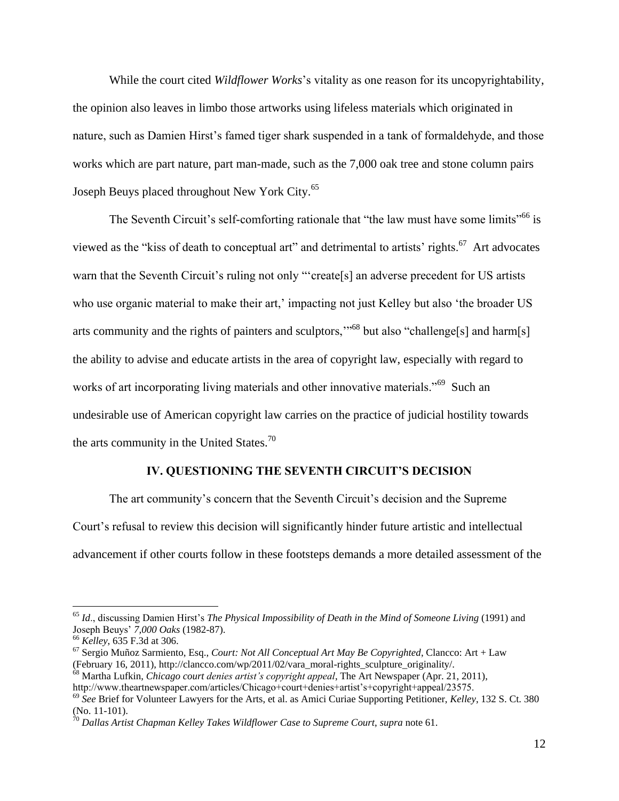While the court cited *Wildflower Works*'s vitality as one reason for its uncopyrightability, the opinion also leaves in limbo those artworks using lifeless materials which originated in nature, such as Damien Hirst's famed tiger shark suspended in a tank of formaldehyde, and those works which are part nature, part man-made, such as the 7,000 oak tree and stone column pairs Joseph Beuys placed throughout New York City.<sup>65</sup>

The Seventh Circuit's self-comforting rationale that "the law must have some limits"<sup>66</sup> is viewed as the "kiss of death to conceptual art" and detrimental to artists' rights.<sup>67</sup> Art advocates warn that the Seventh Circuit's ruling not only "'create<sup>[5]</sup> an adverse precedent for US artists who use organic material to make their art,' impacting not just Kelley but also 'the broader US arts community and the rights of painters and sculptors,'"<sup>68</sup> but also "challenge[s] and harm[s] the ability to advise and educate artists in the area of copyright law, especially with regard to works of art incorporating living materials and other innovative materials."<sup>69</sup> Such an undesirable use of American copyright law carries on the practice of judicial hostility towards the arts community in the United States. $70$ 

#### **IV. QUESTIONING THE SEVENTH CIRCUIT'S DECISION**

The art community's concern that the Seventh Circuit's decision and the Supreme Court's refusal to review this decision will significantly hinder future artistic and intellectual advancement if other courts follow in these footsteps demands a more detailed assessment of the

<sup>65</sup> *Id*., discussing Damien Hirst's *The Physical Impossibility of Death in the Mind of Someone Living* (1991) and Joseph Beuys' *7,000 Oaks* (1982-87).

<sup>66</sup> *Kelley*, 635 F.3d at 306.

<sup>67</sup> Sergio Muñoz Sarmiento, Esq., *Court: Not All Conceptual Art May Be Copyrighted*, Clancco: Art + Law (February 16, 2011), http://clancco.com/wp/2011/02/vara\_moral-rights\_sculpture\_originality/.

<sup>68</sup> Martha Lufkin, *Chicago court denies artist's copyright appeal*, The Art Newspaper (Apr. 21, 2011),

http://www.theartnewspaper.com/articles/Chicago+court+denies+artist's+copyright+appeal/23575.

<sup>69</sup> *See* Brief for Volunteer Lawyers for the Arts, et al. as Amici Curiae Supporting Petitioner, *Kelley*, 132 S. Ct. 380 (No. 11-101).

<sup>70</sup> *Dallas Artist Chapman Kelley Takes Wildflower Case to Supreme Court*, *supra* note 61.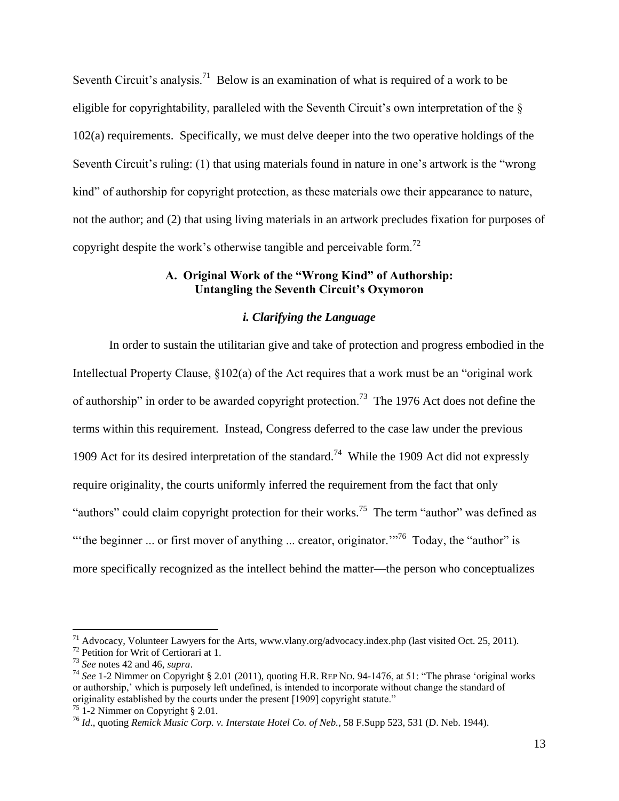Seventh Circuit's analysis.<sup>71</sup> Below is an examination of what is required of a work to be eligible for copyrightability, paralleled with the Seventh Circuit's own interpretation of the § 102(a) requirements. Specifically, we must delve deeper into the two operative holdings of the Seventh Circuit's ruling: (1) that using materials found in nature in one's artwork is the "wrong kind" of authorship for copyright protection, as these materials owe their appearance to nature, not the author; and (2) that using living materials in an artwork precludes fixation for purposes of copyright despite the work's otherwise tangible and perceivable form.<sup>72</sup>

# **A. Original Work of the "Wrong Kind" of Authorship: Untangling the Seventh Circuit's Oxymoron**

# *i. Clarifying the Language*

In order to sustain the utilitarian give and take of protection and progress embodied in the Intellectual Property Clause, §102(a) of the Act requires that a work must be an "original work of authorship" in order to be awarded copyright protection.<sup>73</sup> The 1976 Act does not define the terms within this requirement. Instead, Congress deferred to the case law under the previous 1909 Act for its desired interpretation of the standard.<sup>74</sup> While the 1909 Act did not expressly require originality, the courts uniformly inferred the requirement from the fact that only "authors" could claim copyright protection for their works.<sup>75</sup> The term "author" was defined as " the beginner ... or first mover of anything ... creator, originator."<sup>76</sup> Today, the "author" is more specifically recognized as the intellect behind the matter—the person who conceptualizes

 $^{71}$  Advocacy, Volunteer Lawyers for the Arts, www.vlany.org/advocacy.index.php (last visited Oct. 25, 2011).

<sup>72</sup> Petition for Writ of Certiorari at 1.

<sup>73</sup> *See* notes 42 and 46, *supra*.

<sup>74</sup> *See* 1-2 Nimmer on Copyright § 2.01 (2011), quoting H.R. REP NO. 94-1476, at 51: "The phrase 'original works or authorship,' which is purposely left undefined, is intended to incorporate without change the standard of originality established by the courts under the present [1909] copyright statute."

 $75$  1-2 Nimmer on Copyright § 2.01.

<sup>76</sup> *Id*., quoting *Remick Music Corp. v. Interstate Hotel Co. of Neb.*, 58 F.Supp 523, 531 (D. Neb. 1944).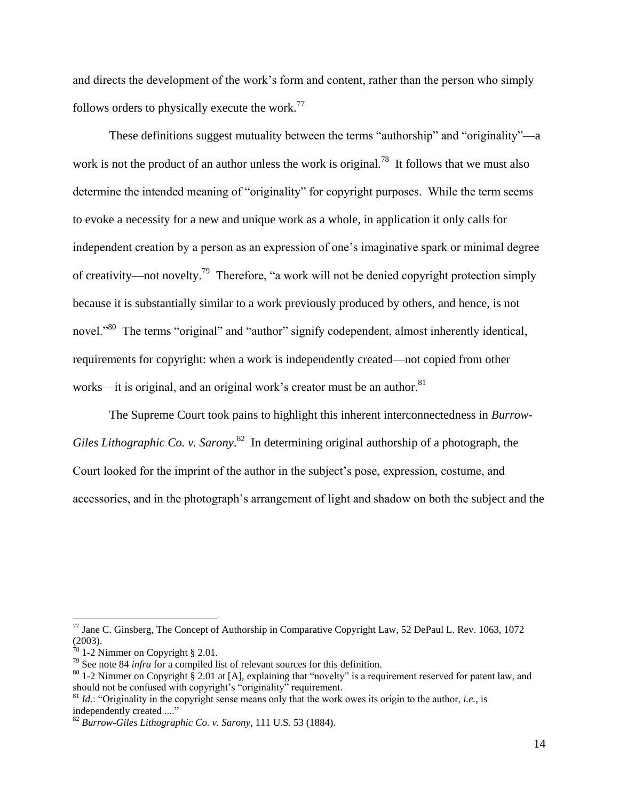and directs the development of the work's form and content, rather than the person who simply follows orders to physically execute the work.<sup>77</sup>

These definitions suggest mutuality between the terms "authorship" and "originality"—a work is not the product of an author unless the work is original.<sup>78</sup> It follows that we must also determine the intended meaning of "originality" for copyright purposes. While the term seems to evoke a necessity for a new and unique work as a whole, in application it only calls for independent creation by a person as an expression of one's imaginative spark or minimal degree of creativity—not novelty.<sup>79</sup> Therefore, "a work will not be denied copyright protection simply because it is substantially similar to a work previously produced by others, and hence, is not novel."<sup>80</sup> The terms "original" and "author" signify codependent, almost inherently identical, requirements for copyright: when a work is independently created—not copied from other works—it is original, and an original work's creator must be an author.<sup>81</sup>

The Supreme Court took pains to highlight this inherent interconnectedness in *Burrow-*Giles Lithographic Co. v. Sarony.<sup>82</sup> In determining original authorship of a photograph, the Court looked for the imprint of the author in the subject's pose, expression, costume, and accessories, and in the photograph's arrangement of light and shadow on both the subject and the

 $^{77}$  Jane C. Ginsberg, The Concept of Authorship in Comparative Copyright Law, 52 DePaul L. Rev. 1063, 1072 (2003).

<sup>1-2</sup> Nimmer on Copyright § 2.01.

<sup>79</sup> See note 84 *infra* for a compiled list of relevant sources for this definition.

 $80$  1-2 Nimmer on Copyright § 2.01 at [A], explaining that "novelty" is a requirement reserved for patent law, and should not be confused with copyright's "originality" requirement.

<sup>&</sup>lt;sup>81</sup> *Id.*: "Originality in the copyright sense means only that the work owes its origin to the author, *i.e.*, is independently created ...."

<sup>82</sup> *Burrow-Giles Lithographic Co. v. Sarony*, 111 U.S. 53 (1884).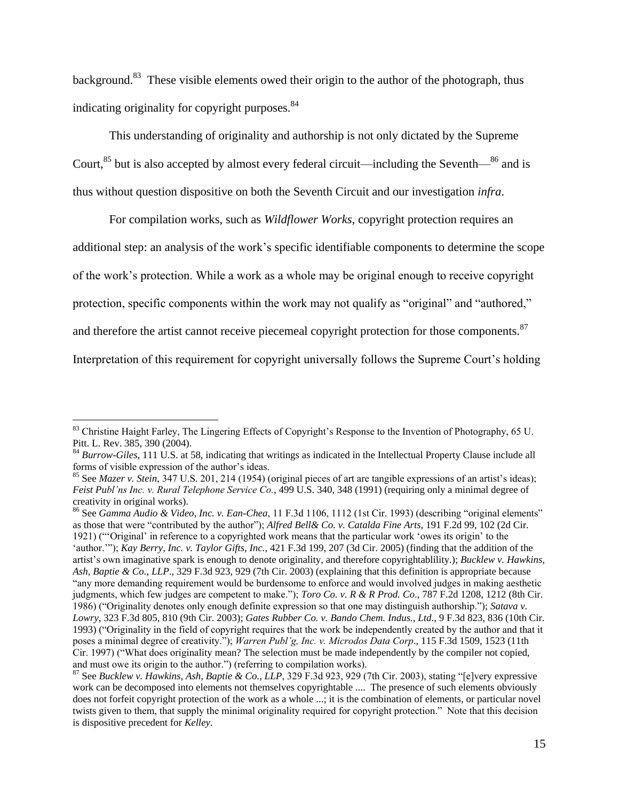background.<sup>83</sup> These visible elements owed their origin to the author of the photograph, thus indicating originality for copyright purposes.<sup>84</sup>

This understanding of originality and authorship is not only dictated by the Supreme Court,  $85$  but is also accepted by almost every federal circuit—including the Seventh— $86$  and is thus without question dispositive on both the Seventh Circuit and our investigation *infra*.

For compilation works, such as *Wildflower Works*, copyright protection requires an additional step: an analysis of the work's specific identifiable components to determine the scope of the work's protection. While a work as a whole may be original enough to receive copyright protection, specific components within the work may not qualify as "original" and "authored," and therefore the artist cannot receive piecemeal copyright protection for those components.<sup>87</sup> Interpretation of this requirement for copyright universally follows the Supreme Court's holding

<sup>&</sup>lt;sup>83</sup> Christine Haight Farley, The Lingering Effects of Copyright's Response to the Invention of Photography, 65 U. Pitt. L. Rev. 385, 390 (2004).

<sup>&</sup>lt;sup>84</sup> *Burrow-Giles*, 111 U.S. at 58, indicating that writings as indicated in the Intellectual Property Clause include all forms of visible expression of the author's ideas.

<sup>85</sup> See *Mazer v. Stein*, 347 U.S. 201, 214 (1954) (original pieces of art are tangible expressions of an artist's ideas); *Feist Publ'ns Inc. v. Rural Telephone Service Co.*, 499 U.S. 340, 348 (1991) (requiring only a minimal degree of creativity in original works).

<sup>86</sup> See *Gamma Audio & Video, Inc. v. Ean-Chea*, 11 F.3d 1106, 1112 (1st Cir. 1993) (describing "original elements" as those that were "contributed by the author"); *Alfred Bell& Co. v. Catalda Fine Arts*, 191 F.2d 99, 102 (2d Cir. 1921) ("'Original' in reference to a copyrighted work means that the particular work 'owes its origin' to the 'author.'"); *Kay Berry, Inc. v. Taylor Gifts, Inc.*, 421 F.3d 199, 207 (3d Cir. 2005) (finding that the addition of the artist's own imaginative spark is enough to denote originality, and therefore copyrightablility.); *Bucklew v. Hawkins, Ash, Baptie & Co., LLP*., 329 F.3d 923, 929 (7th Cir. 2003) (explaining that this definition is appropriate because "any more demanding requirement would be burdensome to enforce and would involved judges in making aesthetic judgments, which few judges are competent to make."); *Toro Co. v. R & R Prod. Co*., 787 F.2d 1208, 1212 (8th Cir. 1986) ("Originality denotes only enough definite expression so that one may distinguish authorship."); *Satava v. Lowry*, 323 F.3d 805, 810 (9th Cir. 2003); *Gates Rubber Co. v. Bando Chem. Indus., Ltd*., 9 F.3d 823, 836 (10th Cir. 1993) ("Originality in the field of copyright requires that the work be independently created by the author and that it poses a minimal degree of creativity."); *Warren Publ'g, Inc. v. Microdos Data Corp*., 115 F.3d 1509, 1523 (11th Cir. 1997) ("What does originality mean? The selection must be made independently by the compiler not copied, and must owe its origin to the author.") (referring to compilation works).

<sup>87</sup> See *Bucklew v. Hawkins, Ash, Baptie & Co., LLP*, 329 F.3d 923, 929 (7th Cir. 2003), stating "[e]very expressive work can be decomposed into elements not themselves copyrightable .... The presence of such elements obviously does not forfeit copyright protection of the work as a whole ...; it is the combination of elements, or particular novel twists given to them, that supply the minimal originality required for copyright protection." Note that this decision is dispositive precedent for *Kelley*.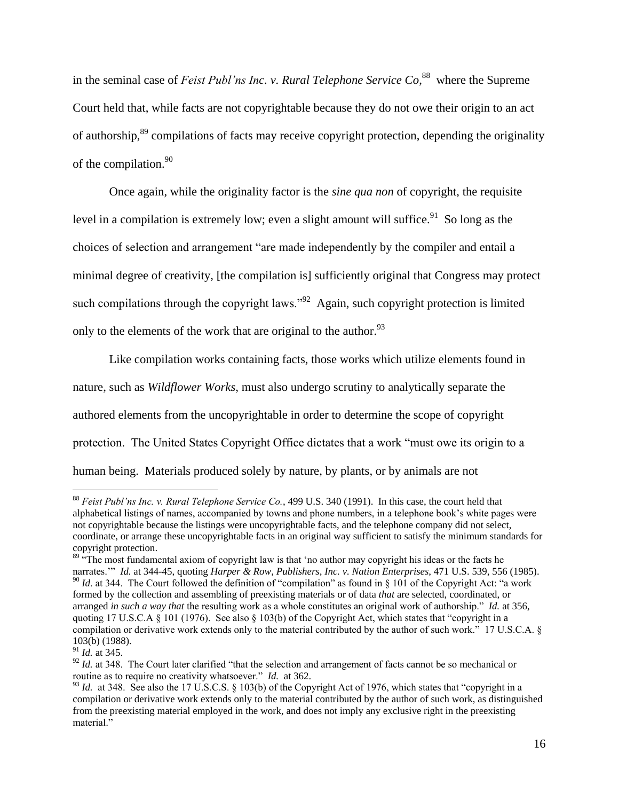in the seminal case of *Feist Publ'ns Inc. v. Rural Telephone Service Co*,<sup>88</sup> where the Supreme Court held that, while facts are not copyrightable because they do not owe their origin to an act of authorship,<sup>89</sup> compilations of facts may receive copyright protection, depending the originality of the compilation.<sup>90</sup>

Once again, while the originality factor is the *sine qua non* of copyright, the requisite level in a compilation is extremely low; even a slight amount will suffice.<sup>91</sup> So long as the choices of selection and arrangement "are made independently by the compiler and entail a minimal degree of creativity, [the compilation is] sufficiently original that Congress may protect such compilations through the copyright laws."<sup>92</sup> Again, such copyright protection is limited only to the elements of the work that are original to the author.<sup>93</sup>

Like compilation works containing facts, those works which utilize elements found in nature, such as *Wildflower Works*, must also undergo scrutiny to analytically separate the authored elements from the uncopyrightable in order to determine the scope of copyright protection. The United States Copyright Office dictates that a work "must owe its origin to a human being. Materials produced solely by nature, by plants, or by animals are not

<sup>88</sup> *Feist Publ'ns Inc. v. Rural Telephone Service Co.*, 499 U.S. 340 (1991). In this case, the court held that alphabetical listings of names, accompanied by towns and phone numbers, in a telephone book's white pages were not copyrightable because the listings were uncopyrightable facts, and the telephone company did not select, coordinate, or arrange these uncopyrightable facts in an original way sufficient to satisfy the minimum standards for copyright protection.

 $89$   $\cdot$  The most fundamental axiom of copyright law is that 'no author may copyright his ideas or the facts he narrates.'" *Id.* at 344-45, quoting *Harper & Row, Publishers, Inc. v. Nation Enterprises*, 471 U.S. 539, 556 (1985).  $90$  *Id.* at 344. The Court followed the definition of "compilation" as found in § 101 of the Copyright Act: "a work formed by the collection and assembling of preexisting materials or of data *that* are selected, coordinated, or arranged *in such a way that* the resulting work as a whole constitutes an original work of authorship." *Id.* at 356, quoting 17 U.S.C.A  $\S$  101 (1976). See also  $\S$  103(b) of the Copyright Act, which states that "copyright in a compilation or derivative work extends only to the material contributed by the author of such work." 17 U.S.C.A. § 103(b) (1988).

<sup>91</sup> *Id.* at 345.

<sup>&</sup>lt;sup>92</sup> *Id.* at 348. The Court later clarified "that the selection and arrangement of facts cannot be so mechanical or routine as to require no creativity whatsoever." *Id.* at 362.

<sup>&</sup>lt;sup>93</sup> *Id.* at 348. See also the 17 U.S.C.S. § 103(b) of the Copyright Act of 1976, which states that "copyright in a compilation or derivative work extends only to the material contributed by the author of such work, as distinguished from the preexisting material employed in the work, and does not imply any exclusive right in the preexisting material."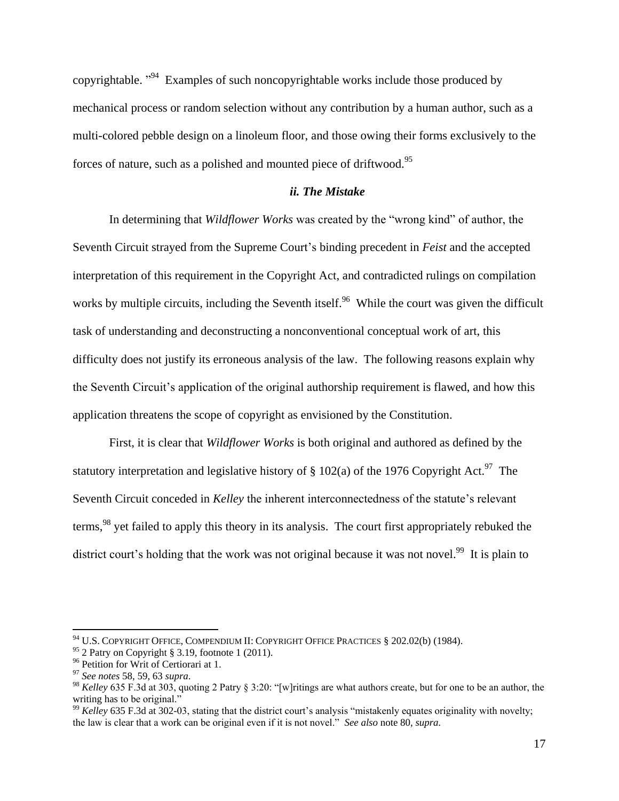copyrightable.  $\mathbb{R}^{94}$  Examples of such noncopyrightable works include those produced by mechanical process or random selection without any contribution by a human author, such as a multi-colored pebble design on a linoleum floor, and those owing their forms exclusively to the forces of nature, such as a polished and mounted piece of driftwood.<sup>95</sup>

#### *ii. The Mistake*

In determining that *Wildflower Works* was created by the "wrong kind" of author, the Seventh Circuit strayed from the Supreme Court's binding precedent in *Feist* and the accepted interpretation of this requirement in the Copyright Act, and contradicted rulings on compilation works by multiple circuits, including the Seventh itself.<sup>96</sup> While the court was given the difficult task of understanding and deconstructing a nonconventional conceptual work of art, this difficulty does not justify its erroneous analysis of the law. The following reasons explain why the Seventh Circuit's application of the original authorship requirement is flawed, and how this application threatens the scope of copyright as envisioned by the Constitution.

First, it is clear that *Wildflower Works* is both original and authored as defined by the statutory interpretation and legislative history of  $\S 102(a)$  of the 1976 Copyright Act.<sup>97</sup> The Seventh Circuit conceded in *Kelley* the inherent interconnectedness of the statute's relevant terms,<sup>98</sup> yet failed to apply this theory in its analysis. The court first appropriately rebuked the district court's holding that the work was not original because it was not novel.<sup>99</sup> It is plain to

 $94$  U.S. COPYRIGHT OFFICE, COMPENDIUM II: COPYRIGHT OFFICE PRACTICES § 202.02(b) (1984).

<sup>95</sup> 2 Patry on Copyright § 3.19, footnote 1 (2011).

<sup>&</sup>lt;sup>96</sup> Petition for Writ of Certiorari at 1.

<sup>97</sup> *See notes* 58, 59, 63 *supra*.

<sup>98</sup> *Kelley* 635 F.3d at 303, quoting 2 Patry § 3:20: "[w]ritings are what authors create, but for one to be an author, the writing has to be original."

<sup>&</sup>lt;sup>99</sup> *Kelley* 635 F.3d at 302-03, stating that the district court's analysis "mistakenly equates originality with novelty; the law is clear that a work can be original even if it is not novel." *See also* note 80, *supra.*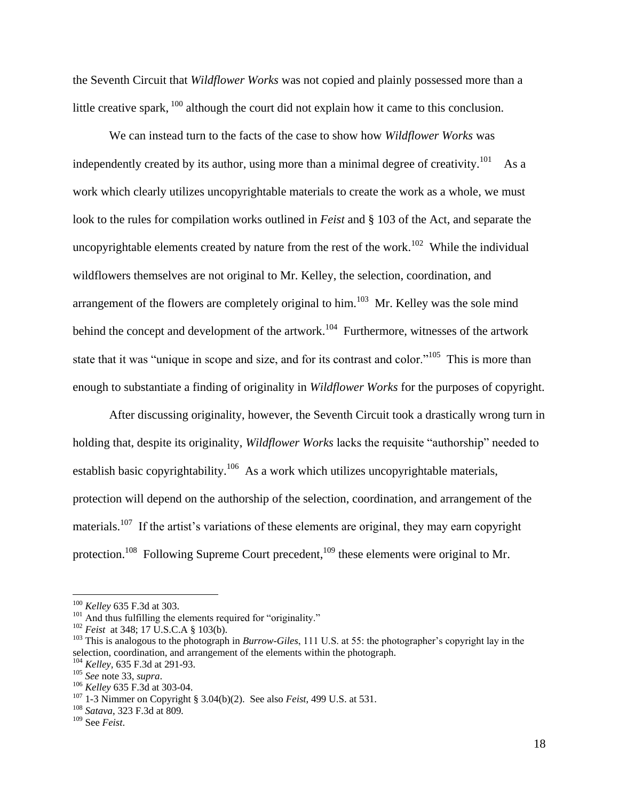the Seventh Circuit that *Wildflower Works* was not copied and plainly possessed more than a little creative spark, <sup>100</sup> although the court did not explain how it came to this conclusion.

We can instead turn to the facts of the case to show how *Wildflower Works* was independently created by its author, using more than a minimal degree of creativity.<sup>101</sup> As a work which clearly utilizes uncopyrightable materials to create the work as a whole, we must look to the rules for compilation works outlined in *Feist* and § 103 of the Act, and separate the uncopyrightable elements created by nature from the rest of the work.<sup>102</sup> While the individual wildflowers themselves are not original to Mr. Kelley, the selection, coordination, and arrangement of the flowers are completely original to him.<sup>103</sup> Mr. Kelley was the sole mind behind the concept and development of the artwork.<sup>104</sup> Furthermore, witnesses of the artwork state that it was "unique in scope and size, and for its contrast and color."<sup>105</sup> This is more than enough to substantiate a finding of originality in *Wildflower Works* for the purposes of copyright.

After discussing originality, however, the Seventh Circuit took a drastically wrong turn in holding that, despite its originality, *Wildflower Works* lacks the requisite "authorship" needed to establish basic copyrightability.<sup>106</sup> As a work which utilizes uncopyrightable materials, protection will depend on the authorship of the selection, coordination, and arrangement of the materials.<sup>107</sup> If the artist's variations of these elements are original, they may earn copyright protection.<sup>108</sup> Following Supreme Court precedent,<sup>109</sup> these elements were original to Mr.

<sup>100</sup> *Kelley* 635 F.3d at 303.

<sup>&</sup>lt;sup>101</sup> And thus fulfilling the elements required for "originality."

<sup>&</sup>lt;sup>102</sup> *Feist* at 348; 17 U.S.C.A § 103(b).

<sup>103</sup> This is analogous to the photograph in *Burrow-Giles*, 111 U.S. at 55: the photographer's copyright lay in the selection, coordination, and arrangement of the elements within the photograph.

<sup>104</sup> *Kelley,* 635 F.3d at 291-93.

<sup>105</sup> *See* note 33, *supra*.

<sup>106</sup> *Kelley* 635 F.3d at 303-04.

<sup>107</sup> 1-3 Nimmer on Copyright § 3.04(b)(2). See also *Feist*, 499 U.S. at 531.

<sup>108</sup> *Satava*, 323 F.3d at 809*.*

<sup>109</sup> See *Feist*.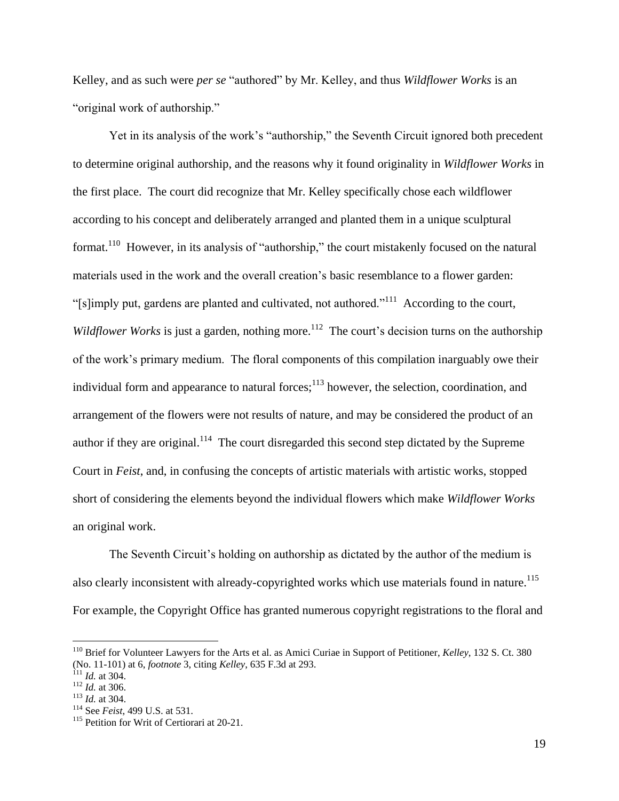Kelley, and as such were *per se* "authored" by Mr. Kelley, and thus *Wildflower Works* is an "original work of authorship."

Yet in its analysis of the work's "authorship," the Seventh Circuit ignored both precedent to determine original authorship, and the reasons why it found originality in *Wildflower Works* in the first place. The court did recognize that Mr. Kelley specifically chose each wildflower according to his concept and deliberately arranged and planted them in a unique sculptural format.<sup>110</sup> However, in its analysis of "authorship," the court mistakenly focused on the natural materials used in the work and the overall creation's basic resemblance to a flower garden: "[s]imply put, gardens are planted and cultivated, not authored."<sup>111</sup> According to the court, *Wildflower Works* is just a garden, nothing more.<sup>112</sup> The court's decision turns on the authorship of the work's primary medium. The floral components of this compilation inarguably owe their individual form and appearance to natural forces; $^{113}$  however, the selection, coordination, and arrangement of the flowers were not results of nature, and may be considered the product of an author if they are original.<sup>114</sup> The court disregarded this second step dictated by the Supreme Court in *Feist*, and, in confusing the concepts of artistic materials with artistic works, stopped short of considering the elements beyond the individual flowers which make *Wildflower Works* an original work.

The Seventh Circuit's holding on authorship as dictated by the author of the medium is also clearly inconsistent with already-copyrighted works which use materials found in nature.<sup>115</sup> For example, the Copyright Office has granted numerous copyright registrations to the floral and

<sup>110</sup> Brief for Volunteer Lawyers for the Arts et al. as Amici Curiae in Support of Petitioner, *Kelley*, 132 S. Ct. 380 (No. 11-101) at 6, *footnote* 3, citing *Kelley*, 635 F.3d at 293.

 $^{111}$  *Id.* at 304.

<sup>112</sup> *Id.* at 306.

<sup>113</sup> *Id.* at 304.

<sup>114</sup> See *Feist*, 499 U.S. at 531.

<sup>&</sup>lt;sup>115</sup> Petition for Writ of Certiorari at 20-21.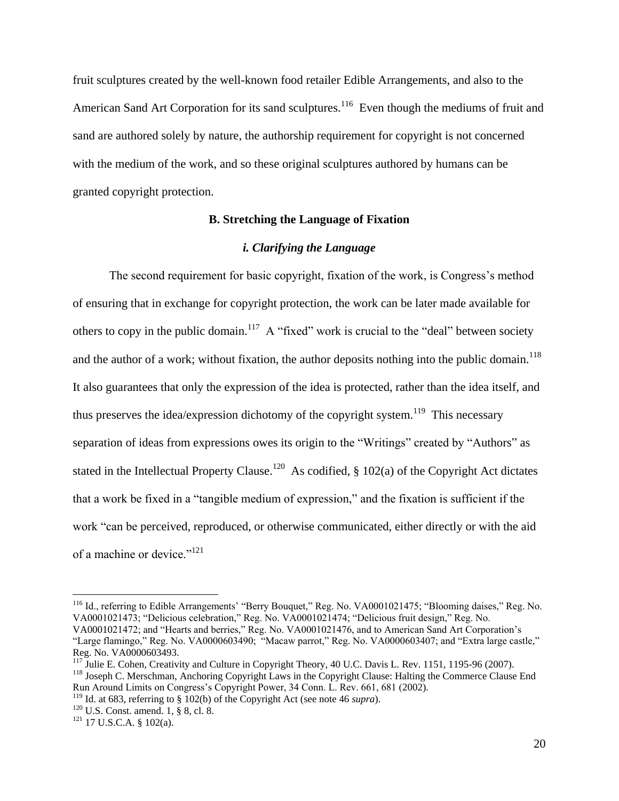fruit sculptures created by the well-known food retailer Edible Arrangements, and also to the American Sand Art Corporation for its sand sculptures.<sup>116</sup> Even though the mediums of fruit and sand are authored solely by nature, the authorship requirement for copyright is not concerned with the medium of the work, and so these original sculptures authored by humans can be granted copyright protection.

# **B. Stretching the Language of Fixation**

#### *i. Clarifying the Language*

The second requirement for basic copyright, fixation of the work, is Congress's method of ensuring that in exchange for copyright protection, the work can be later made available for others to copy in the public domain.<sup>117</sup> A "fixed" work is crucial to the "deal" between society and the author of a work; without fixation, the author deposits nothing into the public domain.<sup>118</sup> It also guarantees that only the expression of the idea is protected, rather than the idea itself, and thus preserves the idea/expression dichotomy of the copyright system.<sup>119</sup> This necessary separation of ideas from expressions owes its origin to the "Writings" created by "Authors" as stated in the Intellectual Property Clause.<sup>120</sup> As codified,  $\S 102(a)$  of the Copyright Act dictates that a work be fixed in a "tangible medium of expression," and the fixation is sufficient if the work "can be perceived, reproduced, or otherwise communicated, either directly or with the aid of a machine or device."<sup>121</sup>

<sup>116</sup> Id., referring to Edible Arrangements' "Berry Bouquet," Reg. No. VA0001021475; "Blooming daises," Reg. No. VA0001021473; "Delicious celebration," Reg. No. VA0001021474; "Delicious fruit design," Reg. No. VA0001021472; and "Hearts and berries," Reg. No. VA0001021476, and to American Sand Art Corporation's "Large flamingo," Reg. No. VA0000603490; "Macaw parrot," Reg. No. VA0000603407; and "Extra large castle," Reg. No. VA0000603493.

<sup>&</sup>lt;sup>117</sup> Julie E. Cohen, Creativity and Culture in Copyright Theory, 40 U.C. Davis L. Rev. 1151, 1195-96 (2007). <sup>118</sup> Joseph C. Merschman, Anchoring Copyright Laws in the Copyright Clause: Halting the Commerce Clause End Run Around Limits on Congress's Copyright Power, 34 Conn. L. Rev. 661, 681 (2002).

<sup>&</sup>lt;sup>119</sup> Id. at 683, referring to  $\S$  102(b) of the Copyright Act (see note 46 *supra*).

 $120$  U.S. Const. amend. 1, § 8, cl. 8.

 $121$  17 U.S.C.A. § 102(a).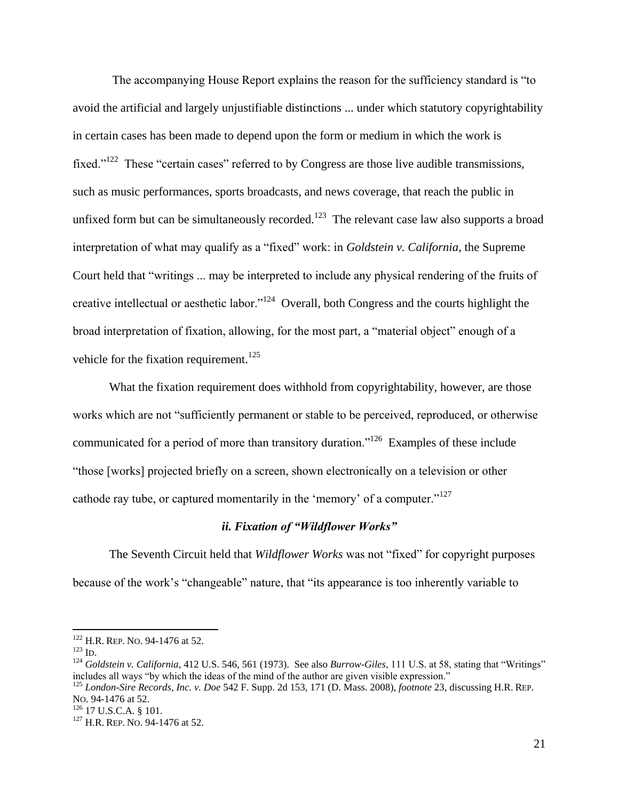The accompanying House Report explains the reason for the sufficiency standard is "to avoid the artificial and largely unjustifiable distinctions ... under which statutory copyrightability in certain cases has been made to depend upon the form or medium in which the work is fixed."<sup>122</sup> These "certain cases" referred to by Congress are those live audible transmissions, such as music performances, sports broadcasts, and news coverage, that reach the public in unfixed form but can be simultaneously recorded.<sup>123</sup> The relevant case law also supports a broad interpretation of what may qualify as a "fixed" work: in *Goldstein v. California*, the Supreme Court held that "writings ... may be interpreted to include any physical rendering of the fruits of creative intellectual or aesthetic labor."<sup>124</sup> Overall, both Congress and the courts highlight the broad interpretation of fixation, allowing, for the most part, a "material object" enough of a vehicle for the fixation requirement.<sup>125</sup>

What the fixation requirement does withhold from copyrightability, however, are those works which are not "sufficiently permanent or stable to be perceived, reproduced, or otherwise communicated for a period of more than transitory duration."<sup>126</sup> Examples of these include "those [works] projected briefly on a screen, shown electronically on a television or other cathode ray tube, or captured momentarily in the 'memory' of a computer."<sup>127</sup>

## *ii. Fixation of "Wildflower Works"*

The Seventh Circuit held that *Wildflower Works* was not "fixed" for copyright purposes because of the work's "changeable" nature, that "its appearance is too inherently variable to

<sup>&</sup>lt;sup>122</sup> H.R. REP. NO. 94-1476 at 52.

 $123$  ID.

<sup>124</sup> *Goldstein v. California*, 412 U.S. 546, 561 (1973). See also *Burrow-Giles*, 111 U.S. at 58, stating that "Writings" includes all ways "by which the ideas of the mind of the author are given visible expression."

<sup>125</sup> *London-Sire Records, Inc. v. Doe* 542 F. Supp. 2d 153, 171 (D. Mass. 2008), *footnote* 23, discussing H.R. REP. NO. 94-1476 at 52.

<sup>126</sup> 17 U.S.C.A. § 101.

<sup>&</sup>lt;sup>127</sup> H.R. REP. NO. 94-1476 at 52.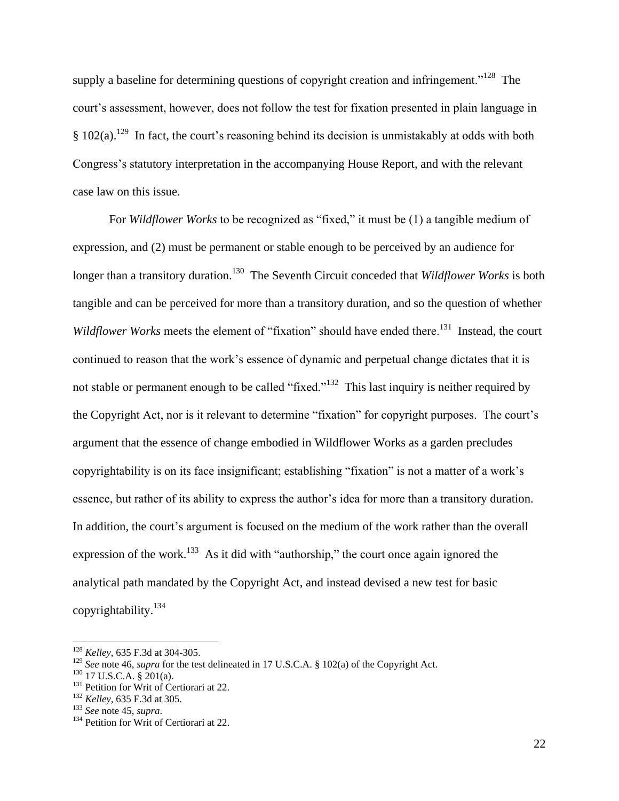supply a baseline for determining questions of copyright creation and infringement."<sup>128</sup> The court's assessment, however, does not follow the test for fixation presented in plain language in  $§ 102(a).$ <sup>129</sup> In fact, the court's reasoning behind its decision is unmistakably at odds with both Congress's statutory interpretation in the accompanying House Report, and with the relevant case law on this issue.

For *Wildflower Works* to be recognized as "fixed," it must be (1) a tangible medium of expression, and (2) must be permanent or stable enough to be perceived by an audience for longer than a transitory duration.<sup>130</sup> The Seventh Circuit conceded that *Wildflower Works* is both tangible and can be perceived for more than a transitory duration, and so the question of whether Wildflower Works meets the element of "fixation" should have ended there.<sup>131</sup> Instead, the court continued to reason that the work's essence of dynamic and perpetual change dictates that it is not stable or permanent enough to be called "fixed."<sup>132</sup> This last inquiry is neither required by the Copyright Act, nor is it relevant to determine "fixation" for copyright purposes. The court's argument that the essence of change embodied in Wildflower Works as a garden precludes copyrightability is on its face insignificant; establishing "fixation" is not a matter of a work's essence, but rather of its ability to express the author's idea for more than a transitory duration. In addition, the court's argument is focused on the medium of the work rather than the overall expression of the work.<sup>133</sup> As it did with "authorship," the court once again ignored the analytical path mandated by the Copyright Act, and instead devised a new test for basic copyrightability.<sup>134</sup>

<sup>128</sup> *Kelley*, 635 F.3d at 304-305.

<sup>&</sup>lt;sup>129</sup> *See* note 46, *supra* for the test delineated in 17 U.S.C.A. § 102(a) of the Copyright Act.

 $130$  17 U.S.C.A. § 201(a).

<sup>&</sup>lt;sup>131</sup> Petition for Writ of Certiorari at 22.

<sup>132</sup> *Kelley*, 635 F.3d at 305.

<sup>133</sup> *See* note 45, *supra*.

<sup>&</sup>lt;sup>134</sup> Petition for Writ of Certiorari at 22.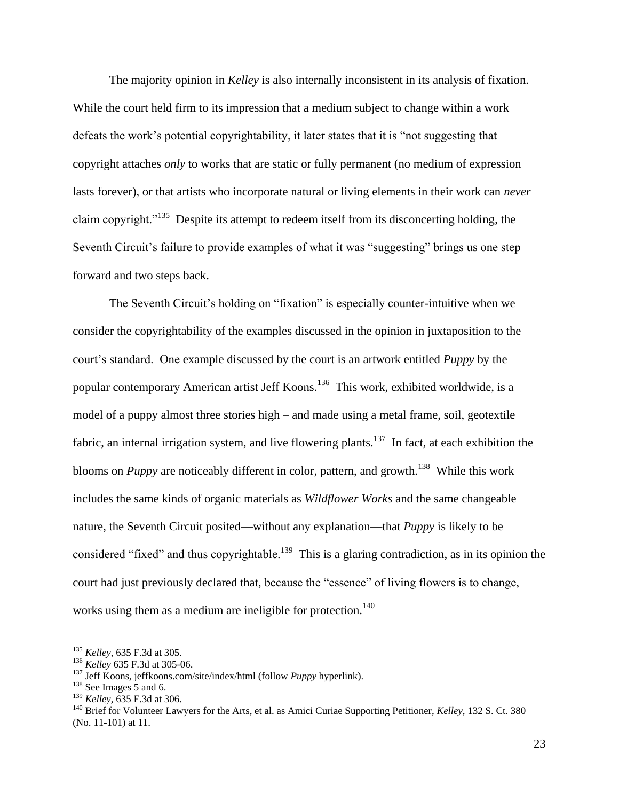The majority opinion in *Kelley* is also internally inconsistent in its analysis of fixation. While the court held firm to its impression that a medium subject to change within a work defeats the work's potential copyrightability, it later states that it is "not suggesting that copyright attaches *only* to works that are static or fully permanent (no medium of expression lasts forever), or that artists who incorporate natural or living elements in their work can *never*  claim copyright."<sup>135</sup> Despite its attempt to redeem itself from its disconcerting holding, the Seventh Circuit's failure to provide examples of what it was "suggesting" brings us one step forward and two steps back.

The Seventh Circuit's holding on "fixation" is especially counter-intuitive when we consider the copyrightability of the examples discussed in the opinion in juxtaposition to the court's standard. One example discussed by the court is an artwork entitled *Puppy* by the popular contemporary American artist Jeff Koons.<sup>136</sup> This work, exhibited worldwide, is a model of a puppy almost three stories high – and made using a metal frame, soil, geotextile fabric, an internal irrigation system, and live flowering plants.<sup>137</sup> In fact, at each exhibition the blooms on *Puppy* are noticeably different in color, pattern, and growth.<sup>138</sup> While this work includes the same kinds of organic materials as *Wildflower Works* and the same changeable nature, the Seventh Circuit posited—without any explanation—that *Puppy* is likely to be considered "fixed" and thus copyrightable.<sup>139</sup> This is a glaring contradiction, as in its opinion the court had just previously declared that, because the "essence" of living flowers is to change, works using them as a medium are ineligible for protection.<sup>140</sup>

<sup>135</sup> *Kelley*, 635 F.3d at 305.

<sup>136</sup> *Kelley* 635 F.3d at 305-06.

<sup>137</sup> Jeff Koons, jeffkoons.com/site/index/html (follow *Puppy* hyperlink).

<sup>138</sup> See Images 5 and 6.

<sup>139</sup> *Kelley*, 635 F.3d at 306.

<sup>140</sup> Brief for Volunteer Lawyers for the Arts, et al. as Amici Curiae Supporting Petitioner, *Kelley*, 132 S. Ct. 380 (No. 11-101) at 11.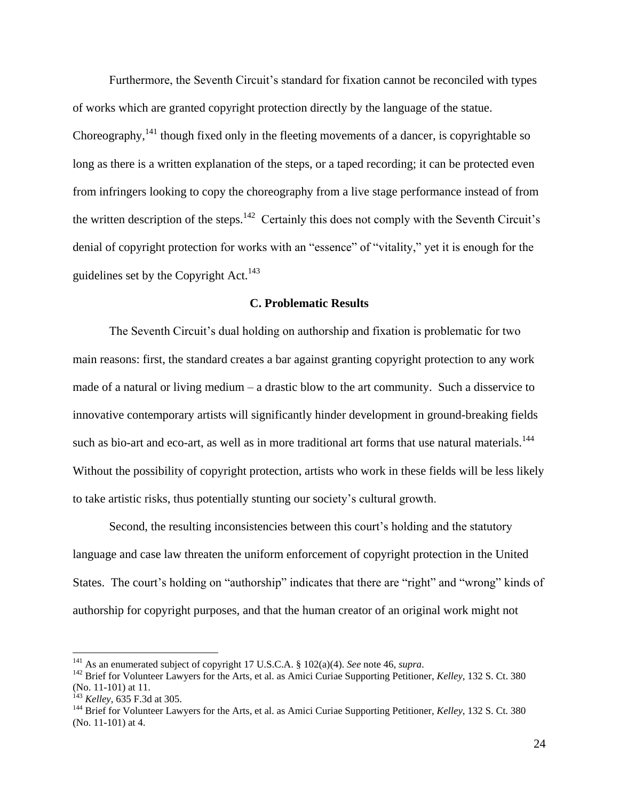Furthermore, the Seventh Circuit's standard for fixation cannot be reconciled with types of works which are granted copyright protection directly by the language of the statue. Choreography, $141$  though fixed only in the fleeting movements of a dancer, is copyrightable so long as there is a written explanation of the steps, or a taped recording; it can be protected even from infringers looking to copy the choreography from a live stage performance instead of from the written description of the steps.<sup>142</sup> Certainly this does not comply with the Seventh Circuit's denial of copyright protection for works with an "essence" of "vitality," yet it is enough for the guidelines set by the Copyright Act.<sup>143</sup>

# **C. Problematic Results**

The Seventh Circuit's dual holding on authorship and fixation is problematic for two main reasons: first, the standard creates a bar against granting copyright protection to any work made of a natural or living medium – a drastic blow to the art community. Such a disservice to innovative contemporary artists will significantly hinder development in ground-breaking fields such as bio-art and eco-art, as well as in more traditional art forms that use natural materials.<sup>144</sup> Without the possibility of copyright protection, artists who work in these fields will be less likely to take artistic risks, thus potentially stunting our society's cultural growth.

Second, the resulting inconsistencies between this court's holding and the statutory language and case law threaten the uniform enforcement of copyright protection in the United States. The court's holding on "authorship" indicates that there are "right" and "wrong" kinds of authorship for copyright purposes, and that the human creator of an original work might not

<sup>141</sup> As an enumerated subject of copyright 17 U.S.C.A. § 102(a)(4). *See* note 46, *supra*.

<sup>142</sup> Brief for Volunteer Lawyers for the Arts, et al. as Amici Curiae Supporting Petitioner, *Kelley*, 132 S. Ct. 380 (No. 11-101) at 11.

<sup>143</sup> *Kelley*, 635 F.3d at 305.

<sup>144</sup> Brief for Volunteer Lawyers for the Arts, et al. as Amici Curiae Supporting Petitioner, *Kelley*, 132 S. Ct. 380 (No. 11-101) at 4.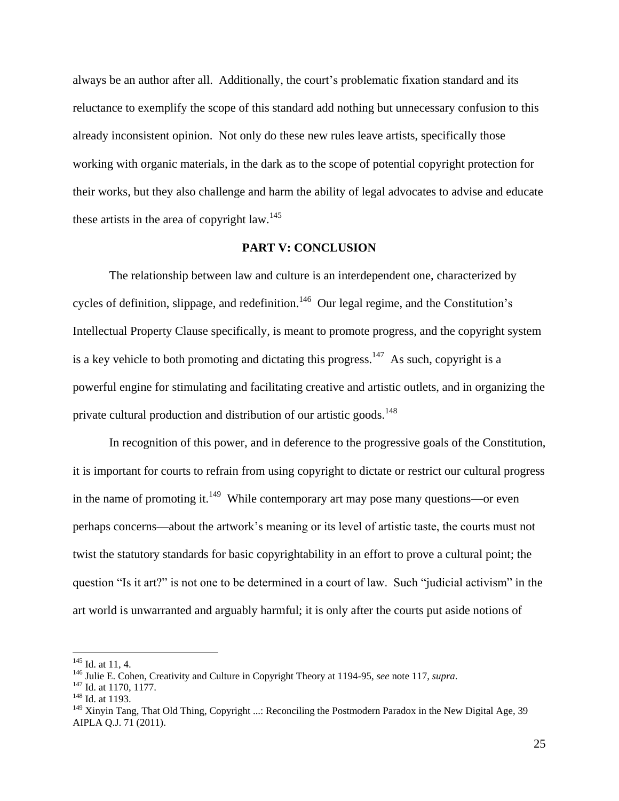always be an author after all. Additionally, the court's problematic fixation standard and its reluctance to exemplify the scope of this standard add nothing but unnecessary confusion to this already inconsistent opinion. Not only do these new rules leave artists, specifically those working with organic materials, in the dark as to the scope of potential copyright protection for their works, but they also challenge and harm the ability of legal advocates to advise and educate these artists in the area of copyright law.<sup>145</sup>

#### **PART V: CONCLUSION**

The relationship between law and culture is an interdependent one, characterized by cycles of definition, slippage, and redefinition.<sup>146</sup> Our legal regime, and the Constitution's Intellectual Property Clause specifically, is meant to promote progress, and the copyright system is a key vehicle to both promoting and dictating this progress.<sup>147</sup> As such, copyright is a powerful engine for stimulating and facilitating creative and artistic outlets, and in organizing the private cultural production and distribution of our artistic goods.<sup>148</sup>

In recognition of this power, and in deference to the progressive goals of the Constitution, it is important for courts to refrain from using copyright to dictate or restrict our cultural progress in the name of promoting it.<sup>149</sup> While contemporary art may pose many questions—or even perhaps concerns—about the artwork's meaning or its level of artistic taste, the courts must not twist the statutory standards for basic copyrightability in an effort to prove a cultural point; the question "Is it art?" is not one to be determined in a court of law. Such "judicial activism" in the art world is unwarranted and arguably harmful; it is only after the courts put aside notions of

 $145$  Id. at 11, 4.

<sup>146</sup> Julie E. Cohen, Creativity and Culture in Copyright Theory at 1194-95, *see* note 117, *supra*.

<sup>&</sup>lt;sup>147</sup> Id. at 1170, 1177.

<sup>&</sup>lt;sup>148</sup> Id. at 1193.

<sup>&</sup>lt;sup>149</sup> Xinyin Tang, That Old Thing, Copyright ...: Reconciling the Postmodern Paradox in the New Digital Age, 39 AIPLA Q.J. 71 (2011).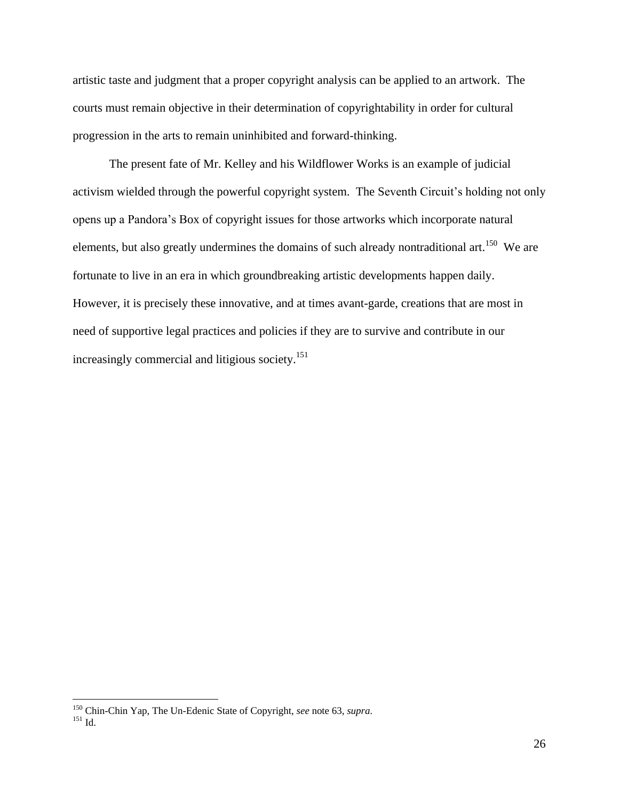artistic taste and judgment that a proper copyright analysis can be applied to an artwork. The courts must remain objective in their determination of copyrightability in order for cultural progression in the arts to remain uninhibited and forward-thinking.

The present fate of Mr. Kelley and his Wildflower Works is an example of judicial activism wielded through the powerful copyright system. The Seventh Circuit's holding not only opens up a Pandora's Box of copyright issues for those artworks which incorporate natural elements, but also greatly undermines the domains of such already nontraditional art.<sup>150</sup> We are fortunate to live in an era in which groundbreaking artistic developments happen daily. However, it is precisely these innovative, and at times avant-garde, creations that are most in need of supportive legal practices and policies if they are to survive and contribute in our increasingly commercial and litigious society.<sup>151</sup>

<sup>150</sup> Chin-Chin Yap, The Un-Edenic State of Copyright, *see* note 63, *supra*.

 $^{151}$  Id.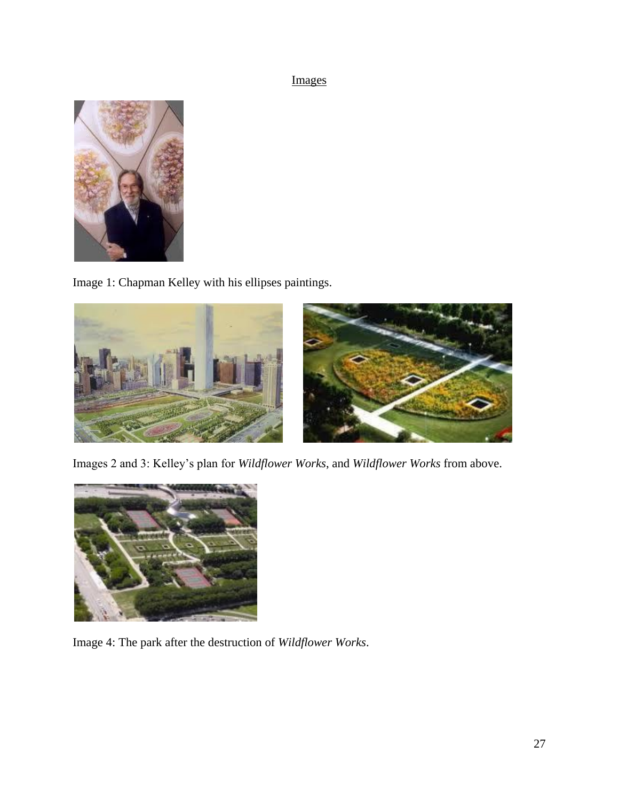# Images



Image 1: Chapman Kelley with his ellipses paintings.



Images 2 and 3: Kelley's plan for *Wildflower Works*, and *Wildflower Works* from above.



Image 4: The park after the destruction of *Wildflower Works*.